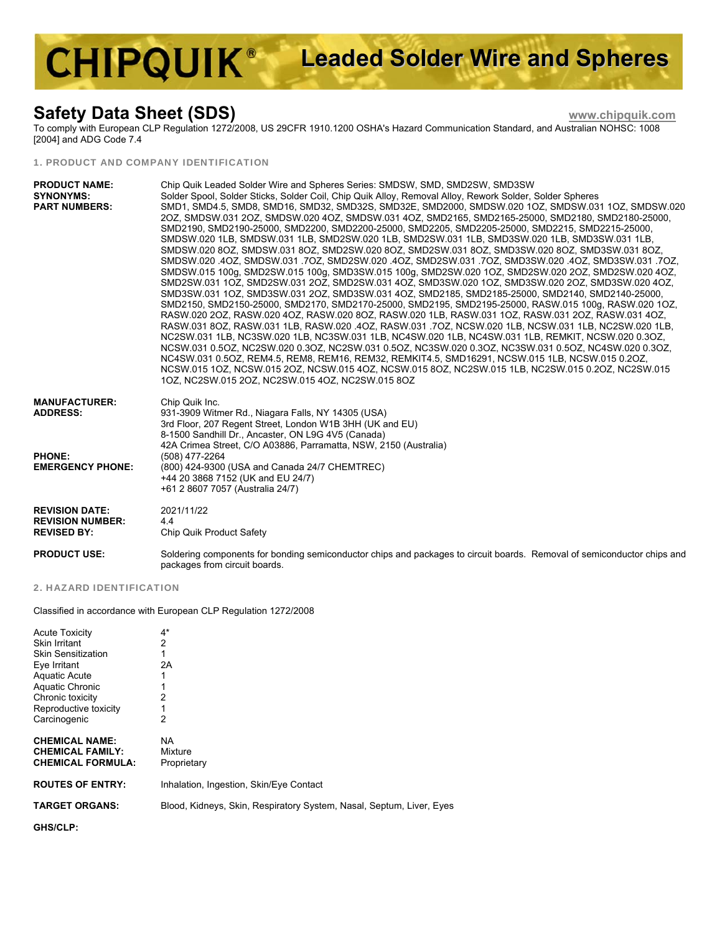# **CHIPQUIK® Leaded Solder Wire and Spheres**

## **Safety Data Sheet (SDS) www.chipquik.com**

To comply with European CLP Regulation 1272/2008, US 29CFR 1910.1200 OSHA's Hazard Communication Standard, and Australian NOHSC: 1008 [2004] and ADG Code 7.4

#### 1. PRODUCT AND COMPANY IDENTIFICATION

| <b>PRODUCT NAME:</b><br><b>SYNONYMS:</b><br><b>PART NUMBERS:</b>                    | Chip Quik Leaded Solder Wire and Spheres Series: SMDSW, SMD, SMD2SW, SMD3SW<br>Solder Spool, Solder Sticks, Solder Coil, Chip Quik Alloy, Removal Alloy, Rework Solder, Solder Spheres<br>SMD1, SMD4.5, SMD8, SMD16, SMD32, SMD32S, SMD32E, SMD2000, SMDSW.020 1OZ, SMDSW.031 1OZ, SMDSW.020<br>2OZ, SMDSW.031 2OZ, SMDSW.020 4OZ, SMDSW.031 4OZ, SMD2165, SMD2165-25000, SMD2180, SMD2180-25000,<br>SMD2190, SMD2190-25000, SMD2200, SMD2200-25000, SMD2205, SMD2205-25000, SMD2215, SMD2215-25000,<br>SMDSW.020 1LB, SMDSW.031 1LB, SMD2SW.020 1LB, SMD2SW.031 1LB, SMD3SW.020 1LB, SMD3SW.031 1LB,<br>SMDSW.020 8OZ, SMDSW.031 8OZ, SMD2SW.020 8OZ, SMD2SW.031 8OZ, SMD3SW.020 8OZ, SMD3SW.031 8OZ,<br>SMDSW.015 100g, SMD2SW.015 100g, SMD3SW.015 100g, SMD2SW.020 1OZ, SMD2SW.020 2OZ, SMD2SW.020 4OZ,<br>SMD2SW.031 1OZ, SMD2SW.031 2OZ, SMD2SW.031 4OZ, SMD3SW.020 1OZ, SMD3SW.020 2OZ, SMD3SW.020 4OZ,<br>SMD3SW.031 1OZ, SMD3SW.031 2OZ, SMD3SW.031 4OZ, SMD2185, SMD2185-25000, SMD2140, SMD2140-25000,<br>SMD2150, SMD2150-25000, SMD2170, SMD2170-25000, SMD2195, SMD2195-25000, RASW.015 100g, RASW.020 1OZ,<br>RASW.020 2OZ, RASW.020 4OZ, RASW.020 8OZ, RASW.020 1LB, RASW.031 1OZ, RASW.031 2OZ, RASW.031 4OZ,<br>RASW 031 8OZ, RASW 031 1LB, RASW 020 .4OZ, RASW 031 .7OZ, NCSW 020 1LB, NCSW 031 1LB, NC2SW 020 1LB,<br>NC2SW.031 1LB, NC3SW.020 1LB, NC3SW.031 1LB, NC4SW.020 1LB, NC4SW.031 1LB, REMKIT, NCSW.020 0.3OZ,<br>NCSW.031 0.5OZ, NC2SW.020 0.3OZ, NC2SW.031 0.5OZ, NC3SW.020 0.3OZ, NC3SW.031 0.5OZ, NC4SW.020 0.3OZ,<br>NC4SW.031 0.5OZ, REM4.5, REM8, REM16, REM32, REMKIT4.5, SMD16291, NCSW.015 1LB, NCSW.015 0.2OZ,<br>NCSW.015 1OZ, NCSW.015 2OZ, NCSW.015 4OZ, NCSW.015 8OZ, NC2SW.015 1LB, NC2SW.015 0.2OZ, NC2SW.015<br>10Z, NC2SW.015 20Z, NC2SW.015 40Z, NC2SW.015 80Z |
|-------------------------------------------------------------------------------------|------------------------------------------------------------------------------------------------------------------------------------------------------------------------------------------------------------------------------------------------------------------------------------------------------------------------------------------------------------------------------------------------------------------------------------------------------------------------------------------------------------------------------------------------------------------------------------------------------------------------------------------------------------------------------------------------------------------------------------------------------------------------------------------------------------------------------------------------------------------------------------------------------------------------------------------------------------------------------------------------------------------------------------------------------------------------------------------------------------------------------------------------------------------------------------------------------------------------------------------------------------------------------------------------------------------------------------------------------------------------------------------------------------------------------------------------------------------------------------------------------------------------------------------------------------------------------------------------------------------------------------------------------------------------------------------------------------------------------------------------------------------------------------------------------------------|
| <b>MANUFACTURER:</b><br><b>ADDRESS:</b><br><b>PHONE:</b><br><b>EMERGENCY PHONE:</b> | Chip Quik Inc.<br>931-3909 Witmer Rd., Niagara Falls, NY 14305 (USA)<br>3rd Floor, 207 Regent Street, London W1B 3HH (UK and EU)<br>8-1500 Sandhill Dr., Ancaster, ON L9G 4V5 (Canada)<br>42A Crimea Street, C/O A03886, Parramatta, NSW, 2150 (Australia)<br>(508) 477-2264<br>(800) 424-9300 (USA and Canada 24/7 CHEMTREC)<br>+44 20 3868 7152 (UK and EU 24/7)<br>+61 2 8607 7057 (Australia 24/7)                                                                                                                                                                                                                                                                                                                                                                                                                                                                                                                                                                                                                                                                                                                                                                                                                                                                                                                                                                                                                                                                                                                                                                                                                                                                                                                                                                                                           |
| <b>REVISION DATE:</b><br><b>REVISION NUMBER:</b><br><b>REVISED BY:</b>              | 2021/11/22<br>4.4<br>Chip Quik Product Safety                                                                                                                                                                                                                                                                                                                                                                                                                                                                                                                                                                                                                                                                                                                                                                                                                                                                                                                                                                                                                                                                                                                                                                                                                                                                                                                                                                                                                                                                                                                                                                                                                                                                                                                                                                    |
| <b>PRODUCT USE:</b>                                                                 | Soldering components for bonding semiconductor chips and packages to circuit boards. Removal of semiconductor chips and<br>packages from circuit boards.                                                                                                                                                                                                                                                                                                                                                                                                                                                                                                                                                                                                                                                                                                                                                                                                                                                                                                                                                                                                                                                                                                                                                                                                                                                                                                                                                                                                                                                                                                                                                                                                                                                         |

#### 2. HAZARD IDENTIFICATION

Classified in accordance with European CLP Regulation 1272/2008

| <b>Acute Toxicity</b><br><b>Skin Irritant</b><br><b>Skin Sensitization</b><br>Eye Irritant<br><b>Aquatic Acute</b><br>Aquatic Chronic<br>Chronic toxicity<br>Reproductive toxicity<br>Carcinogenic | 4*<br>2<br>2Α<br>2<br>2                                              |
|----------------------------------------------------------------------------------------------------------------------------------------------------------------------------------------------------|----------------------------------------------------------------------|
| <b>CHEMICAL NAME:</b><br><b>CHEMICAL FAMILY:</b><br><b>CHEMICAL FORMULA:</b>                                                                                                                       | NA.<br>Mixture<br>Proprietary                                        |
| <b>ROUTES OF ENTRY:</b>                                                                                                                                                                            | Inhalation, Ingestion, Skin/Eye Contact                              |
| <b>TARGET ORGANS:</b>                                                                                                                                                                              | Blood, Kidneys, Skin, Respiratory System, Nasal, Septum, Liver, Eyes |
|                                                                                                                                                                                                    |                                                                      |

**GHS/CLP:**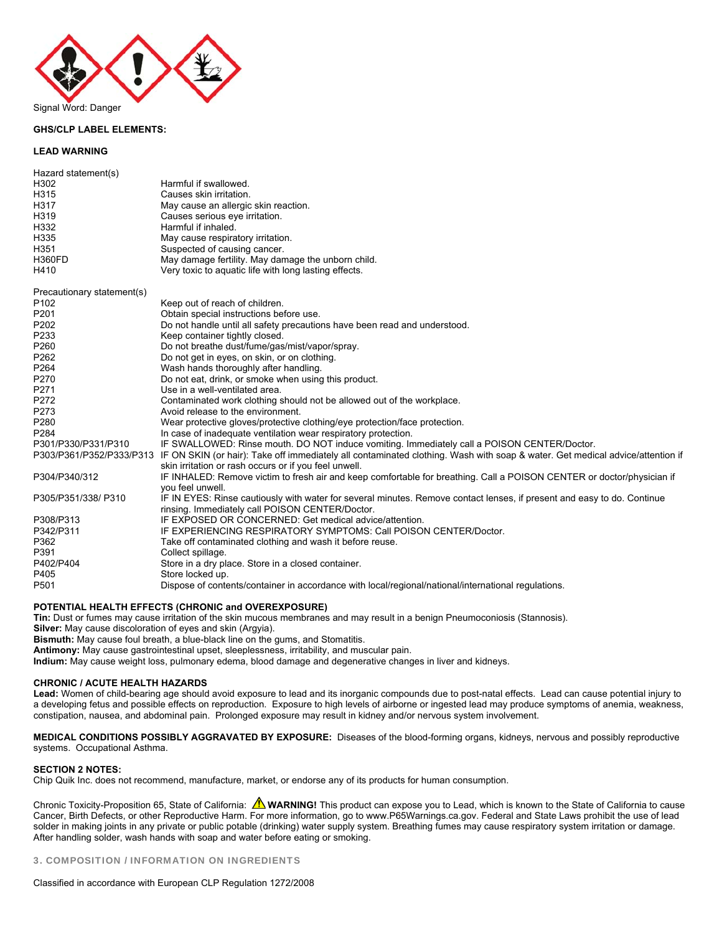

#### **GHS/CLP LABEL ELEMENTS:**

#### **LEAD WARNING**

| Hazard statement(s)        |                                                                                                                               |
|----------------------------|-------------------------------------------------------------------------------------------------------------------------------|
| H302                       | Harmful if swallowed.                                                                                                         |
| H315                       | Causes skin irritation.                                                                                                       |
| H317                       | May cause an allergic skin reaction.                                                                                          |
| H319                       | Causes serious eye irritation.                                                                                                |
| H332                       | Harmful if inhaled.                                                                                                           |
| H335                       | May cause respiratory irritation.                                                                                             |
| H351                       | Suspected of causing cancer.                                                                                                  |
| <b>H360FD</b>              | May damage fertility. May damage the unborn child.                                                                            |
| H410                       | Very toxic to aquatic life with long lasting effects.                                                                         |
| Precautionary statement(s) |                                                                                                                               |
| P102                       | Keep out of reach of children.                                                                                                |
| P201                       | Obtain special instructions before use.                                                                                       |
| P202                       | Do not handle until all safety precautions have been read and understood.                                                     |
| P233                       | Keep container tightly closed.                                                                                                |
| P260                       | Do not breathe dust/fume/gas/mist/vapor/spray.                                                                                |
| P262                       | Do not get in eyes, on skin, or on clothing.                                                                                  |
| P264                       | Wash hands thoroughly after handling.                                                                                         |
| P270                       | Do not eat, drink, or smoke when using this product.                                                                          |
| P271                       | Use in a well-ventilated area.                                                                                                |
| P272                       | Contaminated work clothing should not be allowed out of the workplace.                                                        |
| P273                       | Avoid release to the environment.                                                                                             |
| P280                       | Wear protective gloves/protective clothing/eye protection/face protection.                                                    |
| P284                       | In case of inadequate ventilation wear respiratory protection.                                                                |
| P301/P330/P331/P310        | IF SWALLOWED: Rinse mouth. DO NOT induce vomiting. Immediately call a POISON CENTER/Doctor.                                   |
| P303/P361/P352/P333/P313   | IF ON SKIN (or hair): Take off immediately all contaminated clothing. Wash with soap & water. Get medical advice/attention if |
|                            | skin irritation or rash occurs or if you feel unwell.                                                                         |
| P304/P340/312              | IF INHALED: Remove victim to fresh air and keep comfortable for breathing. Call a POISON CENTER or doctor/physician if        |
|                            | you feel unwell.                                                                                                              |
| P305/P351/338/ P310        | IF IN EYES: Rinse cautiously with water for several minutes. Remove contact lenses, if present and easy to do. Continue       |
|                            | rinsing. Immediately call POISON CENTER/Doctor.                                                                               |
| P308/P313                  | IF EXPOSED OR CONCERNED: Get medical advice/attention.                                                                        |
| P342/P311                  | IF EXPERIENCING RESPIRATORY SYMPTOMS: Call POISON CENTER/Doctor.                                                              |
| P362                       | Take off contaminated clothing and wash it before reuse.                                                                      |
| P391                       | Collect spillage.                                                                                                             |
| P402/P404                  | Store in a dry place. Store in a closed container.                                                                            |
| P405                       | Store locked up.                                                                                                              |
| P <sub>501</sub>           | Dispose of contents/container in accordance with local/regional/national/international regulations.                           |

#### **POTENTIAL HEALTH EFFECTS (CHRONIC and OVEREXPOSURE)**

**Tin:** Dust or fumes may cause irritation of the skin mucous membranes and may result in a benign Pneumoconiosis (Stannosis).

**Silver:** May cause discoloration of eyes and skin (Argyia).

**Bismuth:** May cause foul breath, a blue-black line on the gums, and Stomatitis.

**Antimony:** May cause gastrointestinal upset, sleeplessness, irritability, and muscular pain.

**Indium:** May cause weight loss, pulmonary edema, blood damage and degenerative changes in liver and kidneys.

#### **CHRONIC / ACUTE HEALTH HAZARDS**

**Lead:** Women of child-bearing age should avoid exposure to lead and its inorganic compounds due to post-natal effects. Lead can cause potential injury to a developing fetus and possible effects on reproduction. Exposure to high levels of airborne or ingested lead may produce symptoms of anemia, weakness, constipation, nausea, and abdominal pain. Prolonged exposure may result in kidney and/or nervous system involvement.

**MEDICAL CONDITIONS POSSIBLY AGGRAVATED BY EXPOSURE:** Diseases of the blood-forming organs, kidneys, nervous and possibly reproductive systems. Occupational Asthma.

#### **SECTION 2 NOTES:**

Chip Quik Inc. does not recommend, manufacture, market, or endorse any of its products for human consumption.

Chronic Toxicity-Proposition 65, State of California: **A WARNING!** This product can expose you to Lead, which is known to the State of California to cause Cancer, Birth Defects, or other Reproductive Harm. For more information, go to www.P65Warnings.ca.gov. Federal and State Laws prohibit the use of lead solder in making joints in any private or public potable (drinking) water supply system. Breathing fumes may cause respiratory system irritation or damage. After handling solder, wash hands with soap and water before eating or smoking.

3. COMPOSITION / INFORMATION ON INGREDIENTS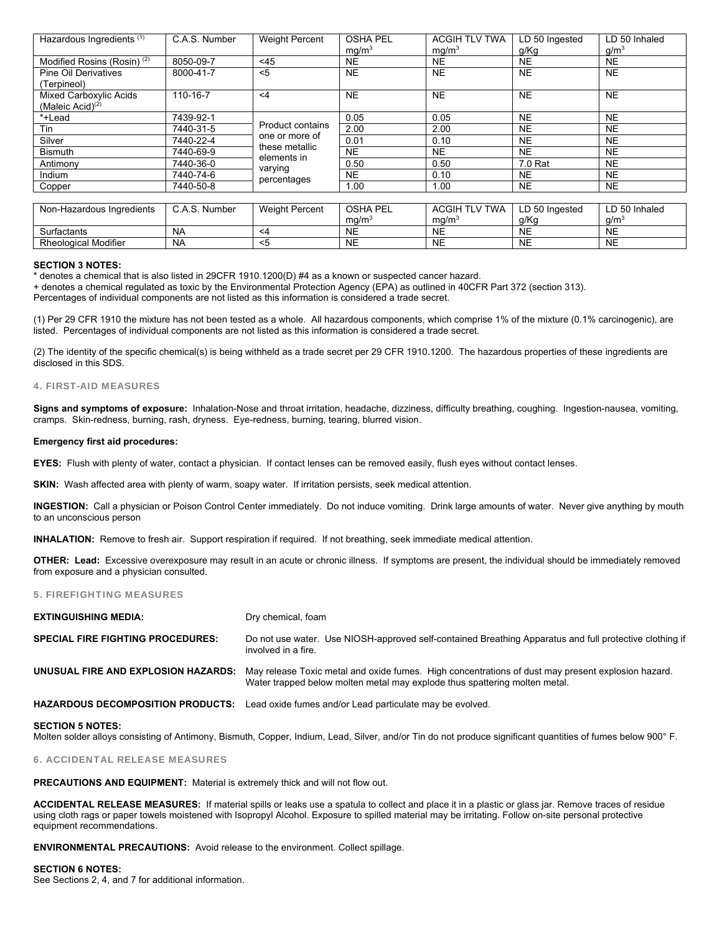| Hazardous Ingredients <sup>(1)</sup>   | C.A.S. Number | <b>Weight Percent</b>                                                          | <b>OSHA PEL</b><br>mg/m <sup>3</sup> | <b>ACGIH TLV TWA</b><br>mg/m <sup>3</sup> | LD 50 Ingested<br>g/Kg | LD 50 Inhaled<br>$g/m^3$ |
|----------------------------------------|---------------|--------------------------------------------------------------------------------|--------------------------------------|-------------------------------------------|------------------------|--------------------------|
| Modified Rosins (Rosin) <sup>(2)</sup> | 8050-09-7     | < 45                                                                           | <b>NE</b>                            | <b>NE</b>                                 | <b>NE</b>              | <b>NE</b>                |
| <b>Pine Oil Derivatives</b>            | 8000-41-7     | $5$                                                                            | <b>NE</b>                            | <b>NE</b>                                 | <b>NE</b>              | <b>NE</b>                |
| (Terpineol)                            |               |                                                                                |                                      |                                           |                        |                          |
| Mixed Carboxylic Acids                 | 110-16-7      | $\leq 4$                                                                       | <b>NE</b>                            | <b>NE</b>                                 | <b>NE</b>              | <b>NE</b>                |
| (Maleic Acid) $(2)$                    |               |                                                                                |                                      |                                           |                        |                          |
| *+Lead                                 | 7439-92-1     |                                                                                | 0.05                                 | 0.05                                      | <b>NE</b>              | <b>NE</b>                |
| Tin                                    | 7440-31-5     | Product contains<br>one or more of<br>these metallic<br>elements in<br>varying | 2.00                                 | 2.00                                      | <b>NE</b>              | <b>NE</b>                |
| Silver                                 | 7440-22-4     |                                                                                | 0.01                                 | 0.10                                      | <b>NE</b>              | <b>NE</b>                |
| <b>Bismuth</b>                         | 7440-69-9     |                                                                                | <b>NE</b>                            | <b>NE</b>                                 | <b>NE</b>              | <b>NE</b>                |
| Antimony                               | 7440-36-0     |                                                                                | 0.50                                 | 0.50                                      | 7.0 Rat                | <b>NE</b>                |
| Indium                                 | 7440-74-6     | percentages                                                                    | <b>NE</b>                            | 0.10                                      | <b>NE</b>              | <b>NE</b>                |
| Copper                                 | 7440-50-8     |                                                                                | 1.00                                 | 1.00                                      | <b>NE</b>              | <b>NE</b>                |
|                                        |               |                                                                                |                                      |                                           |                        |                          |
| Non-Hazardous Ingredients              | C.A.S. Number | <b>Weight Percent</b>                                                          | <b>OSHA PEL</b>                      | <b>ACGIH TLV TWA</b>                      | LD 50 Ingested         | LD 50 Inhaled            |
|                                        |               |                                                                                | mg/m <sup>3</sup>                    | mg/m <sup>3</sup>                         | g/Kg                   | g/m <sup>3</sup>         |
| Surfactants                            | <b>NA</b>     | $\leq 4$                                                                       | <b>NE</b>                            | <b>NE</b>                                 | <b>NE</b>              | <b>NE</b>                |
| <b>Rheological Modifier</b>            | <b>NA</b>     | $<$ 5                                                                          | <b>NE</b>                            | <b>NE</b>                                 | <b>NE</b>              | <b>NE</b>                |

#### **SECTION 3 NOTES:**

\* denotes a chemical that is also listed in 29CFR 1910.1200(D) #4 as a known or suspected cancer hazard.

+ denotes a chemical regulated as toxic by the Environmental Protection Agency (EPA) as outlined in 40CFR Part 372 (section 313).

Percentages of individual components are not listed as this information is considered a trade secret.

(1) Per 29 CFR 1910 the mixture has not been tested as a whole. All hazardous components, which comprise 1% of the mixture (0.1% carcinogenic), are listed. Percentages of individual components are not listed as this information is considered a trade secret.

(2) The identity of the specific chemical(s) is being withheld as a trade secret per 29 CFR 1910.1200. The hazardous properties of these ingredients are disclosed in this SDS.

#### 4. FIRST-AID MEASURES

**Signs and symptoms of exposure:** Inhalation-Nose and throat irritation, headache, dizziness, difficulty breathing, coughing. Ingestion-nausea, vomiting, cramps. Skin-redness, burning, rash, dryness. Eye-redness, burning, tearing, blurred vision.

#### **Emergency first aid procedures:**

**EYES:** Flush with plenty of water, contact a physician. If contact lenses can be removed easily, flush eyes without contact lenses.

**SKIN:** Wash affected area with plenty of warm, soapy water. If irritation persists, seek medical attention.

**INGESTION:** Call a physician or Poison Control Center immediately. Do not induce vomiting. Drink large amounts of water. Never give anything by mouth to an unconscious person

**INHALATION:** Remove to fresh air. Support respiration if required. If not breathing, seek immediate medical attention.

**OTHER: Lead:** Excessive overexposure may result in an acute or chronic illness. If symptoms are present, the individual should be immediately removed from exposure and a physician consulted.

#### 5. FIREFIGHTING MEASURES

| <b>EXTINGUISHING MEDIA:</b>              | Dry chemical, foam                                                                                                                                                                                                   |
|------------------------------------------|----------------------------------------------------------------------------------------------------------------------------------------------------------------------------------------------------------------------|
| <b>SPECIAL FIRE FIGHTING PROCEDURES:</b> | Do not use water. Use NIOSH-approved self-contained Breathing Apparatus and full protective clothing if<br>involved in a fire.                                                                                       |
|                                          | UNUSUAL FIRE AND EXPLOSION HAZARDS: May release Toxic metal and oxide fumes. High concentrations of dust may present explosion hazard.<br>Water trapped below molten metal may explode thus spattering molten metal. |
|                                          | <b>HAZARDOUS DECOMPOSITION PRODUCTS:</b> Lead oxide fumes and/or Lead particulate may be evolved.                                                                                                                    |

#### **SECTION 5 NOTES:**

Molten solder alloys consisting of Antimony, Bismuth, Copper, Indium, Lead, Silver, and/or Tin do not produce significant quantities of fumes below 900° F.

#### 6. ACCIDENTAL RELEASE MEASURES

**PRECAUTIONS AND EQUIPMENT:** Material is extremely thick and will not flow out.

**ACCIDENTAL RELEASE MEASURES:** If material spills or leaks use a spatula to collect and place it in a plastic or glass jar. Remove traces of residue using cloth rags or paper towels moistened with Isopropyl Alcohol. Exposure to spilled material may be irritating. Follow on-site personal protective equipment recommendations.

**ENVIRONMENTAL PRECAUTIONS:** Avoid release to the environment. Collect spillage.

#### **SECTION 6 NOTES:**

See Sections 2, 4, and 7 for additional information.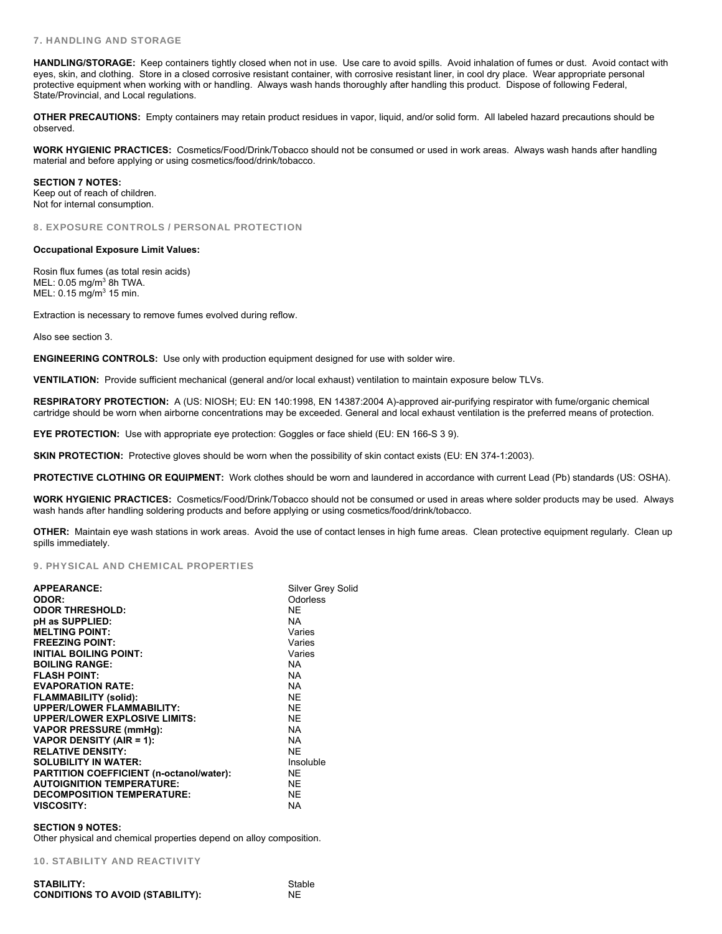#### 7. HANDLING AND STORAGE

**HANDLING/STORAGE:** Keep containers tightly closed when not in use. Use care to avoid spills. Avoid inhalation of fumes or dust. Avoid contact with eyes, skin, and clothing. Store in a closed corrosive resistant container, with corrosive resistant liner, in cool dry place. Wear appropriate personal protective equipment when working with or handling. Always wash hands thoroughly after handling this product. Dispose of following Federal, State/Provincial, and Local regulations.

**OTHER PRECAUTIONS:** Empty containers may retain product residues in vapor, liquid, and/or solid form. All labeled hazard precautions should be observed.

**WORK HYGIENIC PRACTICES:** Cosmetics/Food/Drink/Tobacco should not be consumed or used in work areas. Always wash hands after handling material and before applying or using cosmetics/food/drink/tobacco.

**SECTION 7 NOTES:**  Keep out of reach of children. Not for internal consumption.

8. EXPOSURE CONTROLS / PERSONAL PROTECTION

#### **Occupational Exposure Limit Values:**

Rosin flux fumes (as total resin acids) MEL: 0.05 mg/m<sup>3</sup> 8h TWA.  $MEL: 0.15$  mg/m<sup>3</sup> 15 min.

Extraction is necessary to remove fumes evolved during reflow.

Also see section 3.

**ENGINEERING CONTROLS:** Use only with production equipment designed for use with solder wire.

**VENTILATION:** Provide sufficient mechanical (general and/or local exhaust) ventilation to maintain exposure below TLVs.

**RESPIRATORY PROTECTION:** A (US: NIOSH; EU: EN 140:1998, EN 14387:2004 A)-approved air-purifying respirator with fume/organic chemical cartridge should be worn when airborne concentrations may be exceeded. General and local exhaust ventilation is the preferred means of protection.

**EYE PROTECTION:** Use with appropriate eye protection: Goggles or face shield (EU: EN 166-S 3 9).

**SKIN PROTECTION:** Protective gloves should be worn when the possibility of skin contact exists (EU: EN 374-1:2003).

**PROTECTIVE CLOTHING OR EQUIPMENT:** Work clothes should be worn and laundered in accordance with current Lead (Pb) standards (US: OSHA).

**WORK HYGIENIC PRACTICES:** Cosmetics/Food/Drink/Tobacco should not be consumed or used in areas where solder products may be used. Always wash hands after handling soldering products and before applying or using cosmetics/food/drink/tobacco.

**OTHER:** Maintain eye wash stations in work areas. Avoid the use of contact lenses in high fume areas. Clean protective equipment regularly. Clean up spills immediately.

#### 9. PHYSICAL AND CHEMICAL PROPERTIES

| <b>APPEARANCE:</b>                       | Silver Grey Solid |
|------------------------------------------|-------------------|
| ODOR:                                    | Odorless          |
| <b>ODOR THRESHOLD:</b>                   | NE.               |
| pH as SUPPLIED:                          | NA.               |
| <b>MELTING POINT:</b>                    | Varies            |
| <b>FREEZING POINT:</b>                   | Varies            |
| <b>INITIAL BOILING POINT:</b>            | Varies            |
| <b>BOILING RANGE:</b>                    | NA.               |
| <b>FLASH POINT:</b>                      | NA.               |
| <b>EVAPORATION RATE:</b>                 | NA.               |
| <b>FLAMMABILITY (solid):</b>             | <b>NE</b>         |
| <b>UPPER/LOWER FLAMMABILITY:</b>         | <b>NE</b>         |
| <b>UPPER/LOWER EXPLOSIVE LIMITS:</b>     | <b>NE</b>         |
| <b>VAPOR PRESSURE (mmHg):</b>            | NA.               |
| <b>VAPOR DENSITY (AIR = 1):</b>          | <b>NA</b>         |
| <b>RELATIVE DENSITY:</b>                 | NF                |
| <b>SOLUBILITY IN WATER:</b>              | Insoluble         |
| PARTITION COEFFICIENT (n-octanol/water): | <b>NE</b>         |
| <b>AUTOIGNITION TEMPERATURE:</b>         | <b>NE</b>         |
| <b>DECOMPOSITION TEMPERATURE:</b>        | NF                |
| <b>VISCOSITY:</b>                        | <b>NA</b>         |

#### **SECTION 9 NOTES:**

Other physical and chemical properties depend on alloy composition.

10. STABILITY AND REACTIVITY

| <b>STABILITY:</b>                       | Stable |
|-----------------------------------------|--------|
| <b>CONDITIONS TO AVOID (STABILITY):</b> | NF     |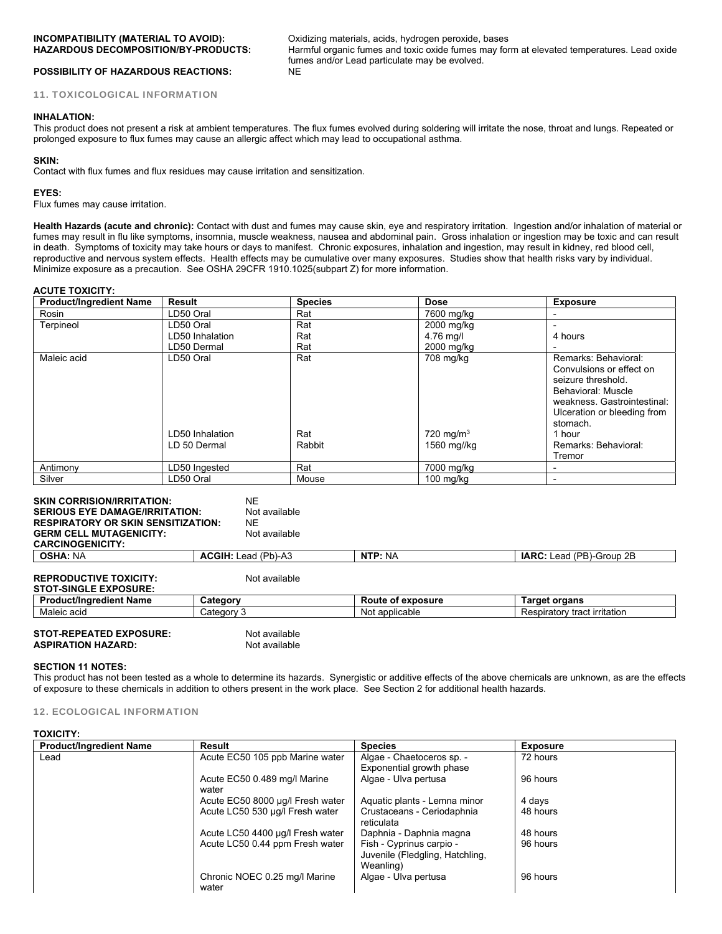**INCOMPATIBILITY (MATERIAL TO AVOID):** Oxidizing materials, acids, hydrogen peroxide, bases **HAZARDOUS DECOMPOSITION/BY-PRODUCTS:** Harmful organic fumes and toxic oxide fumes may form at elevated temperatures. Lead oxide fumes and/or Lead particulate may be evolved.

**POSSIBILITY OF HAZARDOUS REACTIONS:** 11. TOXICOLOGICAL INFORMATION

#### **INHALATION:**

This product does not present a risk at ambient temperatures. The flux fumes evolved during soldering will irritate the nose, throat and lungs. Repeated or prolonged exposure to flux fumes may cause an allergic affect which may lead to occupational asthma.

#### **SKIN:**

Contact with flux fumes and flux residues may cause irritation and sensitization.

#### **EYES:**

Flux fumes may cause irritation.

**Health Hazards (acute and chronic):** Contact with dust and fumes may cause skin, eye and respiratory irritation. Ingestion and/or inhalation of material or fumes may result in flu like symptoms, insomnia, muscle weakness, nausea and abdominal pain. Gross inhalation or ingestion may be toxic and can result in death. Symptoms of toxicity may take hours or days to manifest. Chronic exposures, inhalation and ingestion, may result in kidney, red blood cell, reproductive and nervous system effects. Health effects may be cumulative over many exposures. Studies show that health risks vary by individual. Minimize exposure as a precaution. See OSHA 29CFR 1910.1025(subpart Z) for more information.

#### **ACUTE TOXICITY:**

| <b>Product/Ingredient Name</b> | Result                                       | <b>Species</b>       | <b>Dose</b>                                      | <b>Exposure</b>                                                                                                                                                                                                    |
|--------------------------------|----------------------------------------------|----------------------|--------------------------------------------------|--------------------------------------------------------------------------------------------------------------------------------------------------------------------------------------------------------------------|
| Rosin                          | LD50 Oral                                    | Rat                  | 7600 mg/kg                                       |                                                                                                                                                                                                                    |
| Terpineol                      | LD50 Oral                                    | Rat                  | 2000 mg/kg                                       |                                                                                                                                                                                                                    |
|                                | LD50 Inhalation                              | Rat                  | 4.76 mg/l                                        | 4 hours                                                                                                                                                                                                            |
|                                | LD50 Dermal                                  | Rat                  | 2000 mg/kg                                       |                                                                                                                                                                                                                    |
| Maleic acid                    | LD50 Oral<br>LD50 Inhalation<br>LD 50 Dermal | Rat<br>Rat<br>Rabbit | 708 mg/kg<br>$720 \text{ mg/m}^3$<br>1560 mg//kg | Remarks: Behavioral:<br>Convulsions or effect on<br>seizure threshold.<br>Behavioral: Muscle<br>weakness. Gastrointestinal:<br>Ulceration or bleeding from<br>stomach.<br>1 hour<br>Remarks: Behavioral:<br>Tremor |
| Antimony                       | LD50 Ingested                                | Rat                  | 7000 mg/kg                                       |                                                                                                                                                                                                                    |
| Silver                         | LD50 Oral                                    | Mouse                | $100 \text{ mg/kg}$                              |                                                                                                                                                                                                                    |

| <b>SKIN CORRISION/IRRITATION:</b><br><b>SERIOUS EYE DAMAGE/IRRITATION:</b><br><b>RESPIRATORY OR SKIN SENSITIZATION:</b><br><b>GERM CELL MUTAGENICITY:</b><br><b>CARCINOGENICITY:</b> | <b>NE</b><br>Not available<br>NE.<br>Not available |                   |                                 |
|--------------------------------------------------------------------------------------------------------------------------------------------------------------------------------------|----------------------------------------------------|-------------------|---------------------------------|
| <b>OSHA: NA</b>                                                                                                                                                                      | <b>ACGIH: Lead (Pb)-A3</b>                         | NTP: NA           | <b>IARC:</b> Lead (PB)-Group 2B |
| <b>REPRODUCTIVE TOXICITY:</b><br><b>STOT-SINGLE EXPOSURE:</b>                                                                                                                        | Not available                                      |                   |                                 |
| <b>Product/Ingredient Name</b>                                                                                                                                                       | Category                                           | Route of exposure | <b>Target organs</b>            |
| Maleic acid                                                                                                                                                                          | Category 3                                         | Not applicable    | Respiratory tract irritation    |
|                                                                                                                                                                                      |                                                    |                   |                                 |

**STOT-REPEATED EXPOSURE:** Not available **ASPIRATION HAZARD:** Not available **ASPIRATION HAZARD:** 

#### **SECTION 11 NOTES:**

This product has not been tested as a whole to determine its hazards. Synergistic or additive effects of the above chemicals are unknown, as are the effects of exposure to these chemicals in addition to others present in the work place. See Section 2 for additional health hazards.

#### 12. ECOLOGICAL INFORMATION

#### **TOXICITY:**

| <b>Product/Ingredient Name</b> | Result                                 | <b>Species</b>                                                           | <b>Exposure</b> |
|--------------------------------|----------------------------------------|--------------------------------------------------------------------------|-----------------|
| Lead                           | Acute EC50 105 ppb Marine water        | Algae - Chaetoceros sp. -                                                | 72 hours        |
|                                |                                        | Exponential growth phase                                                 |                 |
|                                | Acute EC50 0.489 mg/l Marine<br>water  | Algae - Ulva pertusa                                                     | 96 hours        |
|                                | Acute EC50 8000 µg/l Fresh water       | Aquatic plants - Lemna minor                                             | 4 days          |
|                                | Acute LC50 530 µg/l Fresh water        | Crustaceans - Ceriodaphnia<br>reticulata                                 | 48 hours        |
|                                | Acute LC50 4400 µg/l Fresh water       | Daphnia - Daphnia magna                                                  | 48 hours        |
|                                | Acute LC50 0.44 ppm Fresh water        | Fish - Cyprinus carpio -<br>Juvenile (Fledgling, Hatchling,<br>Weanling) | 96 hours        |
|                                | Chronic NOEC 0.25 mg/l Marine<br>water | Algae - Ulva pertusa                                                     | 96 hours        |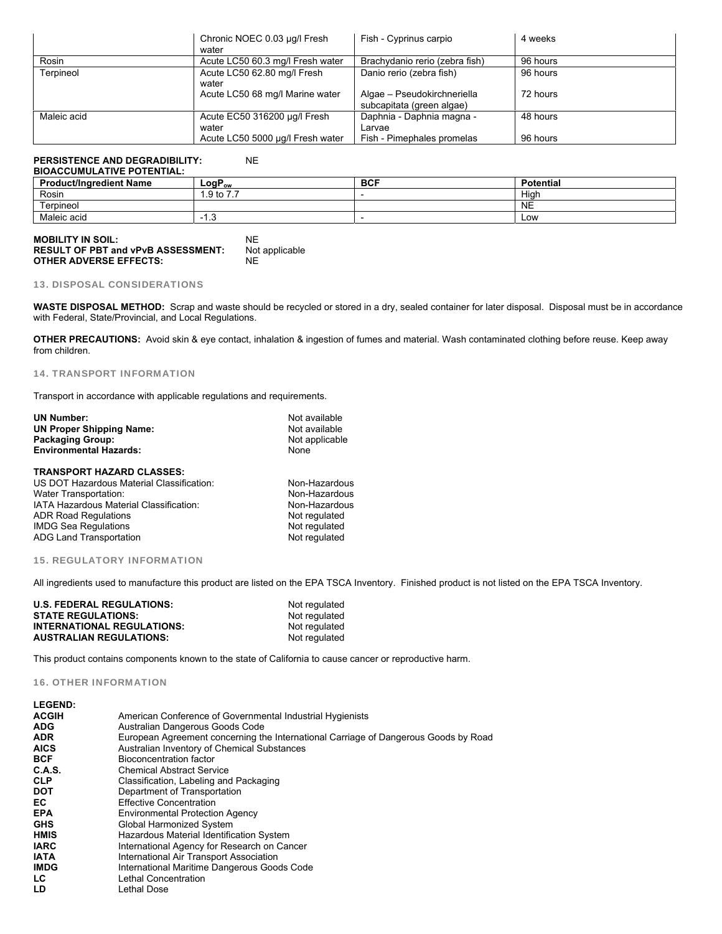|             | Chronic NOEC 0.03 µg/l Fresh<br>water     | Fish - Cyprinus carpio                                   | 4 weeks  |
|-------------|-------------------------------------------|----------------------------------------------------------|----------|
| Rosin       | Acute LC50 60.3 mg/l Fresh water          | Brachydanio rerio (zebra fish)                           | 96 hours |
| Terpineol   | Acute LC50 62.80 mg/l Fresh<br>water      | Danio rerio (zebra fish)                                 | 96 hours |
|             | Acute LC50 68 mg/l Marine water           | Algae - Pseudokirchneriella<br>subcapitata (green algae) | 72 hours |
| Maleic acid | Acute EC50 316200 µg/l Fresh              | Daphnia - Daphnia magna -                                | 48 hours |
|             | water<br>Acute LC50 5000 µg/l Fresh water | Larvae<br>Fish - Pimephales promelas                     | 96 hours |

### **PERSISTENCE AND DEGRADIBILITY:** NE

#### **BIOACCUMULATIVE POTENTIAL:**

| <b>Product/Ingredient Name</b> | ∟ogP <sub>ow</sub>                                   | <b>BCF</b> | <b>Potential</b> |
|--------------------------------|------------------------------------------------------|------------|------------------|
| Rosin                          | $\rightarrow$ $\rightarrow$<br>.9 <sub>to</sub><br>. |            | High             |
| erpineol                       |                                                      |            | <b>NE</b>        |
| Maleic acid                    | .                                                    |            | Low              |

| <b>MOBILITY IN SOIL:</b>                  | NF             |
|-------------------------------------------|----------------|
| <b>RESULT OF PBT and vPvB ASSESSMENT:</b> | Not applicable |
| <b>OTHER ADVERSE EFFECTS:</b>             | NF             |

#### 13. DISPOSAL CONSIDERATIONS

**WASTE DISPOSAL METHOD:** Scrap and waste should be recycled or stored in a dry, sealed container for later disposal. Disposal must be in accordance with Federal, State/Provincial, and Local Regulations.

**OTHER PRECAUTIONS:** Avoid skin & eye contact, inhalation & ingestion of fumes and material. Wash contaminated clothing before reuse. Keep away from children.

#### 14. TRANSPORT INFORMATION

Transport in accordance with applicable regulations and requirements.

| <b>UN Number:</b>                         | Not available  |  |
|-------------------------------------------|----------------|--|
| <b>UN Proper Shipping Name:</b>           | Not available  |  |
| <b>Packaging Group:</b>                   | Not applicable |  |
| <b>Environmental Hazards:</b>             | None           |  |
| <b>TRANSPORT HAZARD CLASSES:</b>          |                |  |
| US DOT Hazardous Material Classification: | Non-Hazardous  |  |
| Water Transportation:                     | Non-Hazardous  |  |
| IATA Hazardous Material Classification:   | Non-Hazardous  |  |
| <b>ADR Road Regulations</b>               | Not regulated  |  |
| <b>IMDG Sea Regulations</b>               | Not regulated  |  |

IMDG Sea Regulations<br>
ADG Land Transportation<br>
Not regulated

#### 15. REGULATORY INFORMATION

ADG Land Transportation

All ingredients used to manufacture this product are listed on the EPA TSCA Inventory. Finished product is not listed on the EPA TSCA Inventory.

| <b>U.S. FEDERAL REGULATIONS:</b>  | Not regulated |
|-----------------------------------|---------------|
| <b>STATE REGULATIONS:</b>         | Not regulated |
| <b>INTERNATIONAL REGULATIONS:</b> | Not regulated |
| <b>AUSTRALIAN REGULATIONS:</b>    | Not regulated |

This product contains components known to the state of California to cause cancer or reproductive harm.

#### 16. OTHER INFORMATION

| <b>LEGEND:</b> |                                                                                     |
|----------------|-------------------------------------------------------------------------------------|
| <b>ACGIH</b>   | American Conference of Governmental Industrial Hygienists                           |
| <b>ADG</b>     | Australian Dangerous Goods Code                                                     |
| <b>ADR</b>     | European Agreement concerning the International Carriage of Dangerous Goods by Road |
| <b>AICS</b>    | Australian Inventory of Chemical Substances                                         |
| <b>BCF</b>     | Bioconcentration factor                                                             |
| C.A.S.         | <b>Chemical Abstract Service</b>                                                    |
| <b>CLP</b>     | Classification, Labeling and Packaging                                              |
| <b>DOT</b>     | Department of Transportation                                                        |
| EC.            | <b>Effective Concentration</b>                                                      |
| <b>EPA</b>     | <b>Environmental Protection Agency</b>                                              |
| <b>GHS</b>     | Global Harmonized System                                                            |
| <b>HMIS</b>    | Hazardous Material Identification System                                            |
| <b>IARC</b>    | International Agency for Research on Cancer                                         |
| <b>IATA</b>    | International Air Transport Association                                             |
| <b>IMDG</b>    | International Maritime Dangerous Goods Code                                         |
| LC.            | Lethal Concentration                                                                |
| LD             | Lethal Dose                                                                         |